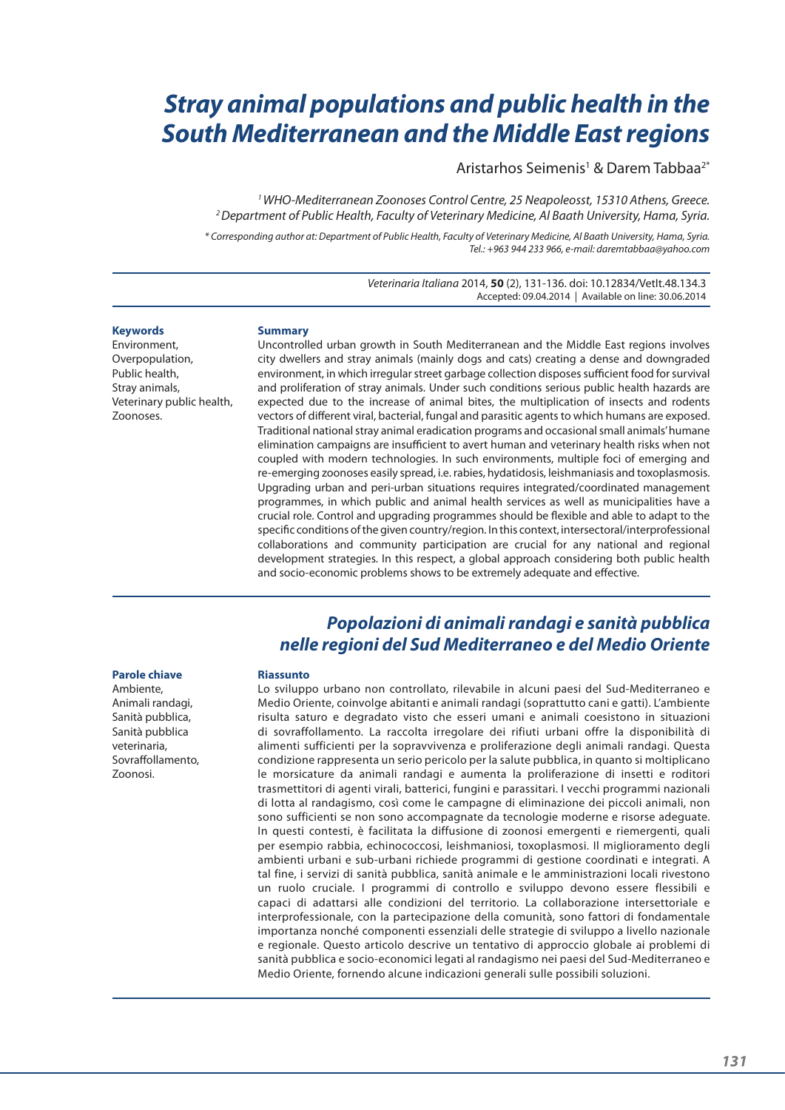# *Stray animal populations and public health in the South Mediterranean and the Middle East regions*

Aristarhos Seimenis<sup>1</sup> & Darem Tabbaa<sup>2\*</sup>

*1 WHO-Mediterranean Zoonoses Control Centre, 25 Neapoleosst, 15310 Athens, Greece. 2 Department of Public Health, Faculty of Veterinary Medicine, Al Baath University, Hama, Syria.*

*\* Corresponding author at: Department of Public Health, Faculty of Veterinary Medicine, Al Baath University, Hama, Syria. Tel.: +963 944 233 966, e-mail: daremtabbaa@yahoo.com*

> *Veterinaria Italiana* 2014, **50** (2), 131-136. doi: 10.12834/VetIt.48.134.3 Accepted: 09.04.2014 | Available on line: 30.06.2014

#### **Keywords**

Environment, Overpopulation, Public health, Stray animals, Veterinary public health, Zoonoses.

#### **Summary**

Uncontrolled urban growth in South Mediterranean and the Middle East regions involves city dwellers and stray animals (mainly dogs and cats) creating a dense and downgraded environment, in which irregular street garbage collection disposes sufficient food for survival and proliferation of stray animals. Under such conditions serious public health hazards are expected due to the increase of animal bites, the multiplication of insects and rodents vectors of different viral, bacterial, fungal and parasitic agents to which humans are exposed. Traditional national stray animal eradication programs and occasional small animals' humane elimination campaigns are insufficient to avert human and veterinary health risks when not coupled with modern technologies. In such environments, multiple foci of emerging and re-emerging zoonoses easily spread, i.e. rabies, hydatidosis, leishmaniasis and toxoplasmosis. Upgrading urban and peri-urban situations requires integrated/coordinated management programmes, in which public and animal health services as well as municipalities have a crucial role. Control and upgrading programmes should be flexible and able to adapt to the specific conditions of the given country/region. In this context, intersectoral/interprofessional collaborations and community participation are crucial for any national and regional development strategies. In this respect, a global approach considering both public health and socio-economic problems shows to be extremely adequate and effective.

### *Popolazioni di animali randagi e sanità pubblica nelle regioni del Sud Mediterraneo e del Medio Oriente*

#### **Parole chiave**

Ambiente, Animali randagi, Sanità pubblica, Sanità pubblica veterinaria, Sovraffollamento, Zoonosi.

#### **Riassunto**

Lo sviluppo urbano non controllato, rilevabile in alcuni paesi del Sud-Mediterraneo e Medio Oriente, coinvolge abitanti e animali randagi (soprattutto cani e gatti). L'ambiente risulta saturo e degradato visto che esseri umani e animali coesistono in situazioni di sovraffollamento. La raccolta irregolare dei rifiuti urbani offre la disponibilità di alimenti sufficienti per la sopravvivenza e proliferazione degli animali randagi. Questa condizione rappresenta un serio pericolo per la salute pubblica, in quanto si moltiplicano le morsicature da animali randagi e aumenta la proliferazione di insetti e roditori trasmettitori di agenti virali, batterici, fungini e parassitari. I vecchi programmi nazionali di lotta al randagismo, così come le campagne di eliminazione dei piccoli animali, non sono sufficienti se non sono accompagnate da tecnologie moderne e risorse adeguate. In questi contesti, è facilitata la diffusione di zoonosi emergenti e riemergenti, quali per esempio rabbia, echinococcosi, leishmaniosi, toxoplasmosi. Il miglioramento degli ambienti urbani e sub-urbani richiede programmi di gestione coordinati e integrati. A tal fine, i servizi di sanità pubblica, sanità animale e le amministrazioni locali rivestono un ruolo cruciale. I programmi di controllo e sviluppo devono essere flessibili e capaci di adattarsi alle condizioni del territorio. La collaborazione intersettoriale e interprofessionale, con la partecipazione della comunità, sono fattori di fondamentale importanza nonché componenti essenziali delle strategie di sviluppo a livello nazionale e regionale. Questo articolo descrive un tentativo di approccio globale ai problemi di sanità pubblica e socio-economici legati al randagismo nei paesi del Sud-Mediterraneo e Medio Oriente, fornendo alcune indicazioni generali sulle possibili soluzioni.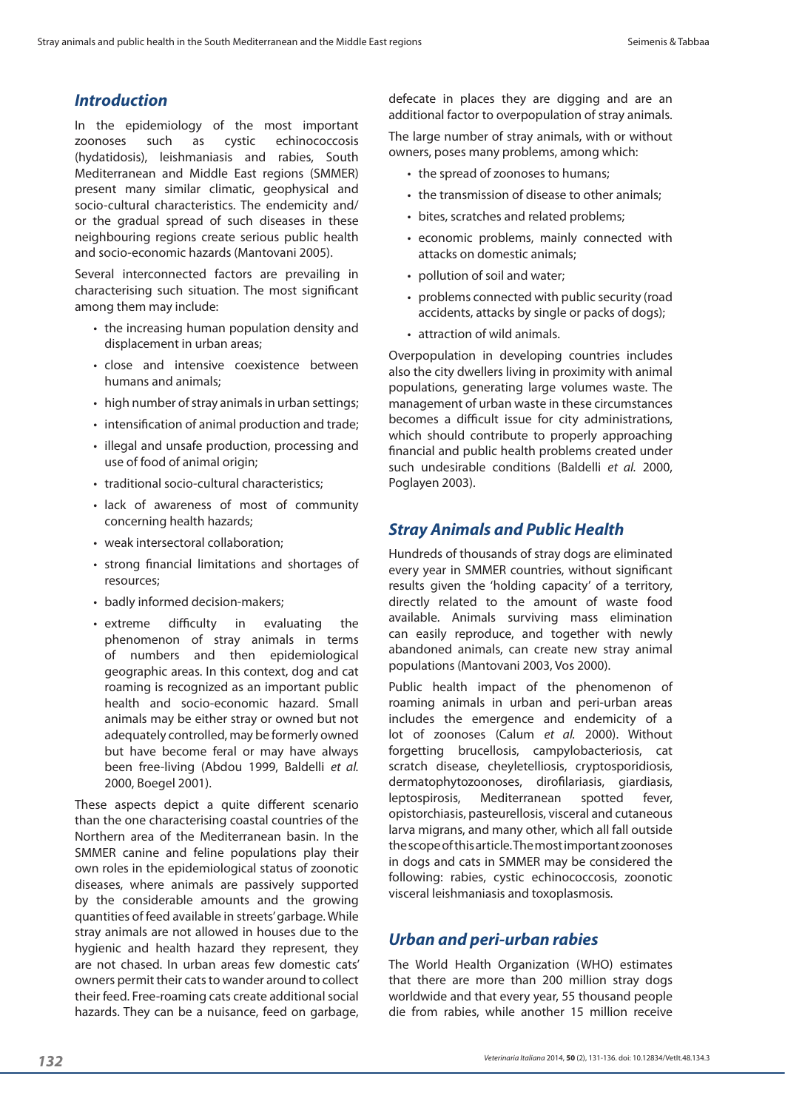### *Introduction*

In the epidemiology of the most important zoonoses such as cystic echinococcosis (hydatidosis), leishmaniasis and rabies, South Mediterranean and Middle East regions (SMMER) present many similar climatic, geophysical and socio-cultural characteristics. The endemicity and/ or the gradual spread of such diseases in these neighbouring regions create serious public health and socio-economic hazards (Mantovani 2005).

Several interconnected factors are prevailing in characterising such situation. The most significant among them may include:

- the increasing human population density and displacement in urban areas;
- close and intensive coexistence between humans and animals;
- high number of stray animals in urban settings;
- intensification of animal production and trade;
- illegal and unsafe production, processing and use of food of animal origin;
- traditional socio-cultural characteristics;
- lack of awareness of most of community concerning health hazards;
- weak intersectoral collaboration:
- strong financial limitations and shortages of resources;
- badly informed decision-makers:
- extreme difficulty in evaluating the phenomenon of stray animals in terms of numbers and then epidemiological geographic areas. In this context, dog and cat roaming is recognized as an important public health and socio-economic hazard. Small animals may be either stray or owned but not adequately controlled, may be formerly owned but have become feral or may have always been free-living (Abdou 1999, Baldelli *et al.* 2000, Boegel 2001).

These aspects depict a quite different scenario than the one characterising coastal countries of the Northern area of the Mediterranean basin. In the SMMER canine and feline populations play their own roles in the epidemiological status of zoonotic diseases, where animals are passively supported by the considerable amounts and the growing quantities of feed available in streets' garbage. While stray animals are not allowed in houses due to the hygienic and health hazard they represent, they are not chased. In urban areas few domestic cats' owners permit their cats to wander around to collect their feed. Free-roaming cats create additional social hazards. They can be a nuisance, feed on garbage,

defecate in places they are digging and are an additional factor to overpopulation of stray animals.

The large number of stray animals, with or without owners, poses many problems, among which:

- the spread of zoonoses to humans;
- the transmission of disease to other animals;
- bites, scratches and related problems;
- • economic problems, mainly connected with attacks on domestic animals;
- pollution of soil and water;
- problems connected with public security (road accidents, attacks by single or packs of dogs);
- attraction of wild animals.

Overpopulation in developing countries includes also the city dwellers living in proximity with animal populations, generating large volumes waste. The management of urban waste in these circumstances becomes a difficult issue for city administrations, which should contribute to properly approaching financial and public health problems created under such undesirable conditions (Baldelli *et al.* 2000, Poglayen 2003).

#### *Stray Animals and Public Health*

Hundreds of thousands of stray dogs are eliminated every year in SMMER countries, without significant results given the 'holding capacity' of a territory, directly related to the amount of waste food available. Animals surviving mass elimination can easily reproduce, and together with newly abandoned animals, can create new stray animal populations (Mantovani 2003, Vos 2000).

Public health impact of the phenomenon of roaming animals in urban and peri-urban areas includes the emergence and endemicity of a lot of zoonoses (Calum *et al.* 2000). Without forgetting brucellosis, campylobacteriosis, cat scratch disease, cheyletelliosis, cryptosporidiosis, dermatophytozoonoses, dirofilariasis, giardiasis, leptospirosis, Mediterranean spotted fever, opistorchiasis, pasteurellosis, visceral and cutaneous larva migrans, and many other, which all fall outside the scope of this article. The most important zoonoses in dogs and cats in SMMER may be considered the following: rabies, cystic echinococcosis, zoonotic visceral leishmaniasis and toxoplasmosis.

### *Urban and peri-urban rabies*

The World Health Organization (WHO) estimates that there are more than 200 million stray dogs worldwide and that every year, 55 thousand people die from rabies, while another 15 million receive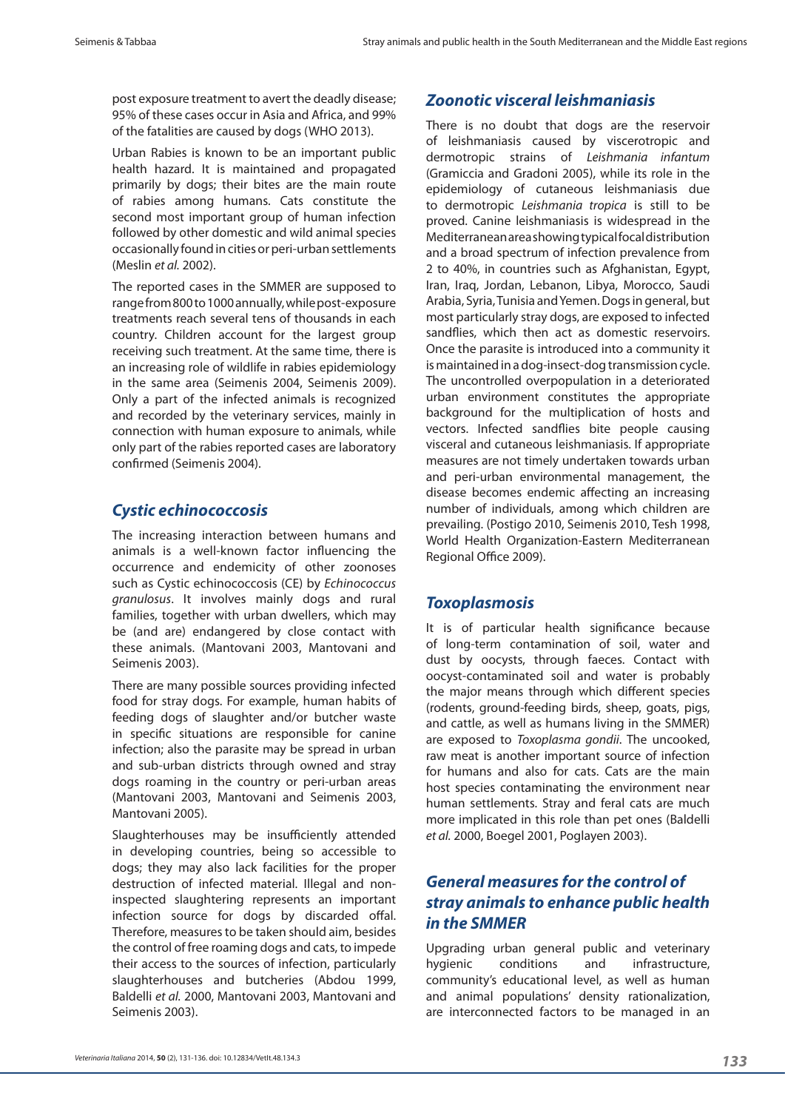post exposure treatment to avert the deadly disease; 95% of these cases occur in Asia and Africa, and 99% of the fatalities are caused by dogs (WHO 2013).

Urban Rabies is known to be an important public health hazard. It is maintained and propagated primarily by dogs; their bites are the main route of rabies among humans. Cats constitute the second most important group of human infection followed by other domestic and wild animal species occasionally found in cities or peri-urban settlements (Meslin *et al.* 2002).

The reported cases in the SMMER are supposed to range from 800 to 1000 annually, while post-exposure treatments reach several tens of thousands in each country. Children account for the largest group receiving such treatment. At the same time, there is an increasing role of wildlife in rabies epidemiology in the same area (Seimenis 2004, Seimenis 2009). Only a part of the infected animals is recognized and recorded by the veterinary services, mainly in connection with human exposure to animals, while only part of the rabies reported cases are laboratory confirmed (Seimenis 2004).

### *Cystic echinococcosis*

The increasing interaction between humans and animals is a well-known factor influencing the occurrence and endemicity of other zoonoses such as Cystic echinococcosis (CE) by *Echinococcus granulosus*. It involves mainly dogs and rural families, together with urban dwellers, which may be (and are) endangered by close contact with these animals. (Mantovani 2003, Mantovani and Seimenis 2003).

There are many possible sources providing infected food for stray dogs. For example, human habits of feeding dogs of slaughter and/or butcher waste in specific situations are responsible for canine infection; also the parasite may be spread in urban and sub-urban districts through owned and stray dogs roaming in the country or peri-urban areas (Mantovani 2003, Mantovani and Seimenis 2003, Mantovani 2005).

Slaughterhouses may be insufficiently attended in developing countries, being so accessible to dogs; they may also lack facilities for the proper destruction of infected material. Illegal and noninspected slaughtering represents an important infection source for dogs by discarded offal. Therefore, measures to be taken should aim, besides the control of free roaming dogs and cats, to impede their access to the sources of infection, particularly slaughterhouses and butcheries (Abdou 1999, Baldelli *et al.* 2000, Mantovani 2003, Mantovani and Seimenis 2003).

#### *Zoonotic visceral leishmaniasis*

There is no doubt that dogs are the reservoir of leishmaniasis caused by viscerotropic and dermotropic strains of *Leishmania infantum*  (Gramiccia and Gradoni 2005), while its role in the epidemiology of cutaneous leishmaniasis due to dermotropic *Leishmania tropica* is still to be proved. Canine leishmaniasis is widespread in the Mediterranean area showing typical focal distribution and a broad spectrum of infection prevalence from 2 to 40%, in countries such as Afghanistan, Egypt, Iran, Iraq, Jordan, Lebanon, Libya, Morocco, Saudi Arabia, Syria, Tunisia and Yemen. Dogs in general, but most particularly stray dogs, are exposed to infected sandflies, which then act as domestic reservoirs. Once the parasite is introduced into a community it is maintained in a dog-insect-dog transmission cycle. The uncontrolled overpopulation in a deteriorated urban environment constitutes the appropriate background for the multiplication of hosts and vectors. Infected sandflies bite people causing visceral and cutaneous leishmaniasis. If appropriate measures are not timely undertaken towards urban and peri-urban environmental management, the disease becomes endemic affecting an increasing number of individuals, among which children are prevailing. (Postigo 2010, Seimenis 2010, Tesh 1998, World Health Organization-Eastern Mediterranean Regional Office 2009).

### *Toxoplasmosis*

It is of particular health significance because of long-term contamination of soil, water and dust by oocysts, through faeces. Contact with oocyst-contaminated soil and water is probably the major means through which different species (rodents, ground-feeding birds, sheep, goats, pigs, and cattle, as well as humans living in the SMMER) are exposed to *Toxoplasma gondii*. The uncooked, raw meat is another important source of infection for humans and also for cats. Cats are the main host species contaminating the environment near human settlements. Stray and feral cats are much more implicated in this role than pet ones (Baldelli *et al.* 2000, Boegel 2001, Poglayen 2003).

## *General measures for the control of stray animals to enhance public health in the SMMER*

Upgrading urban general public and veterinary hygienic conditions and infrastructure, community's educational level, as well as human and animal populations' density rationalization, are interconnected factors to be managed in an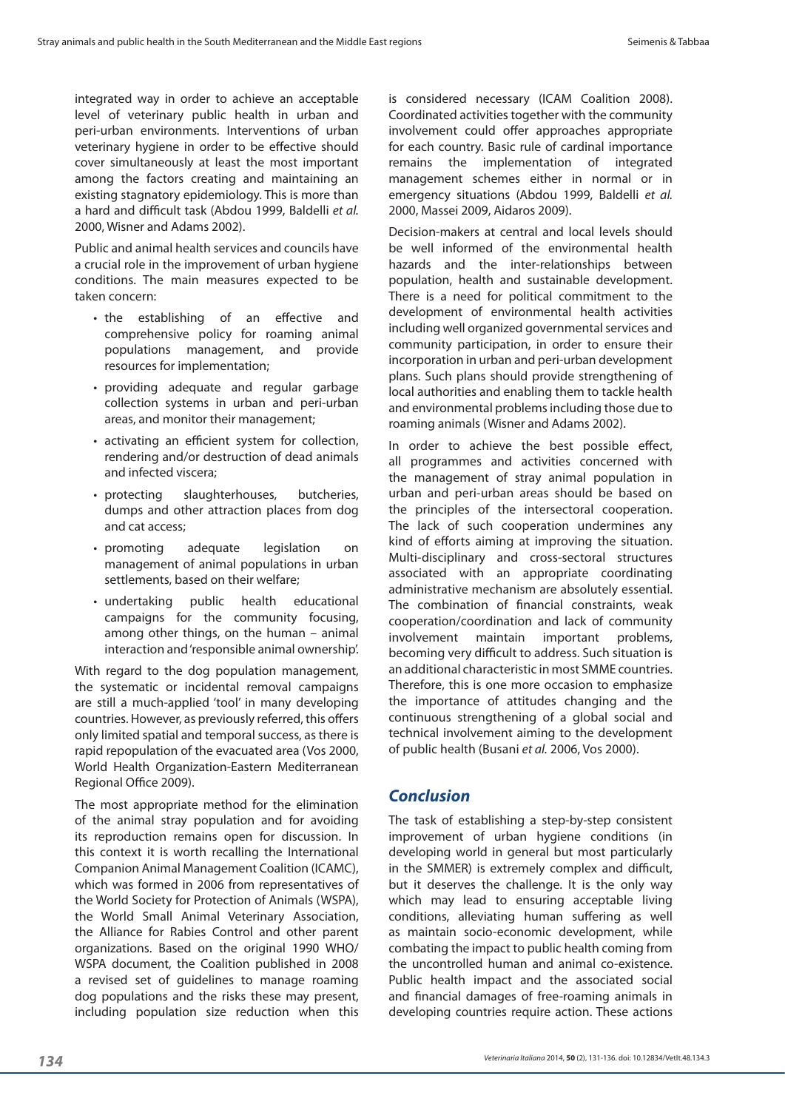integrated way in order to achieve an acceptable level of veterinary public health in urban and peri-urban environments. Interventions of urban veterinary hygiene in order to be effective should cover simultaneously at least the most important among the factors creating and maintaining an existing stagnatory epidemiology. This is more than a hard and difficult task (Abdou 1999, Baldelli *et al.* 2000, Wisner and Adams 2002).

Public and animal health services and councils have a crucial role in the improvement of urban hygiene conditions. The main measures expected to be taken concern:

- the establishing of an effective and comprehensive policy for roaming animal populations management, and provide resources for implementation;
- providing adequate and regular garbage collection systems in urban and peri-urban areas, and monitor their management;
- • activating an efficient system for collection, rendering and/or destruction of dead animals and infected viscera;
- protecting slaughterhouses, butcheries, dumps and other attraction places from dog and cat access;
- promoting adequate legislation on management of animal populations in urban settlements, based on their welfare;
- undertaking public health educational campaigns for the community focusing, among other things, on the human – animal interaction and 'responsible animal ownership'.

With regard to the dog population management, the systematic or incidental removal campaigns are still a much-applied 'tool' in many developing countries. However, as previously referred, this offers only limited spatial and temporal success, as there is rapid repopulation of the evacuated area (Vos 2000, World Health Organization-Eastern Mediterranean Regional Office 2009).

The most appropriate method for the elimination of the animal stray population and for avoiding its reproduction remains open for discussion. In this context it is worth recalling the International Companion Animal Management Coalition (ICAMC), which was formed in 2006 from representatives of the World Society for Protection of Animals (WSPA), the World Small Animal Veterinary Association, the Alliance for Rabies Control and other parent organizations. Based on the original 1990 WHO/ WSPA document, the Coalition published in 2008 a revised set of guidelines to manage roaming dog populations and the risks these may present, including population size reduction when this is considered necessary (ICAM Coalition 2008). Coordinated activities together with the community involvement could offer approaches appropriate for each country. Basic rule of cardinal importance remains the implementation of integrated management schemes either in normal or in emergency situations (Abdou 1999, Baldelli *et al.* 2000, Massei 2009, Aidaros 2009).

Decision-makers at central and local levels should be well informed of the environmental health hazards and the inter-relationships between population, health and sustainable development. There is a need for political commitment to the development of environmental health activities including well organized governmental services and community participation, in order to ensure their incorporation in urban and peri-urban development plans. Such plans should provide strengthening of local authorities and enabling them to tackle health and environmental problems including those due to roaming animals (Wisner and Adams 2002).

In order to achieve the best possible effect, all programmes and activities concerned with the management of stray animal population in urban and peri-urban areas should be based on the principles of the intersectoral cooperation. The lack of such cooperation undermines any kind of efforts aiming at improving the situation. Multi-disciplinary and cross-sectoral structures associated with an appropriate coordinating administrative mechanism are absolutely essential. The combination of financial constraints, weak cooperation/coordination and lack of community involvement maintain important problems, becoming very difficult to address. Such situation is an additional characteristic in most SMME countries. Therefore, this is one more occasion to emphasize the importance of attitudes changing and the continuous strengthening of a global social and technical involvement aiming to the development of public health (Busani *et al.* 2006, Vos 2000).

### *Conclusion*

The task of establishing a step-by-step consistent improvement of urban hygiene conditions (in developing world in general but most particularly in the SMMER) is extremely complex and difficult, but it deserves the challenge. It is the only way which may lead to ensuring acceptable living conditions, alleviating human suffering as well as maintain socio-economic development, while combating the impact to public health coming from the uncontrolled human and animal co-existence. Public health impact and the associated social and financial damages of free-roaming animals in developing countries require action. These actions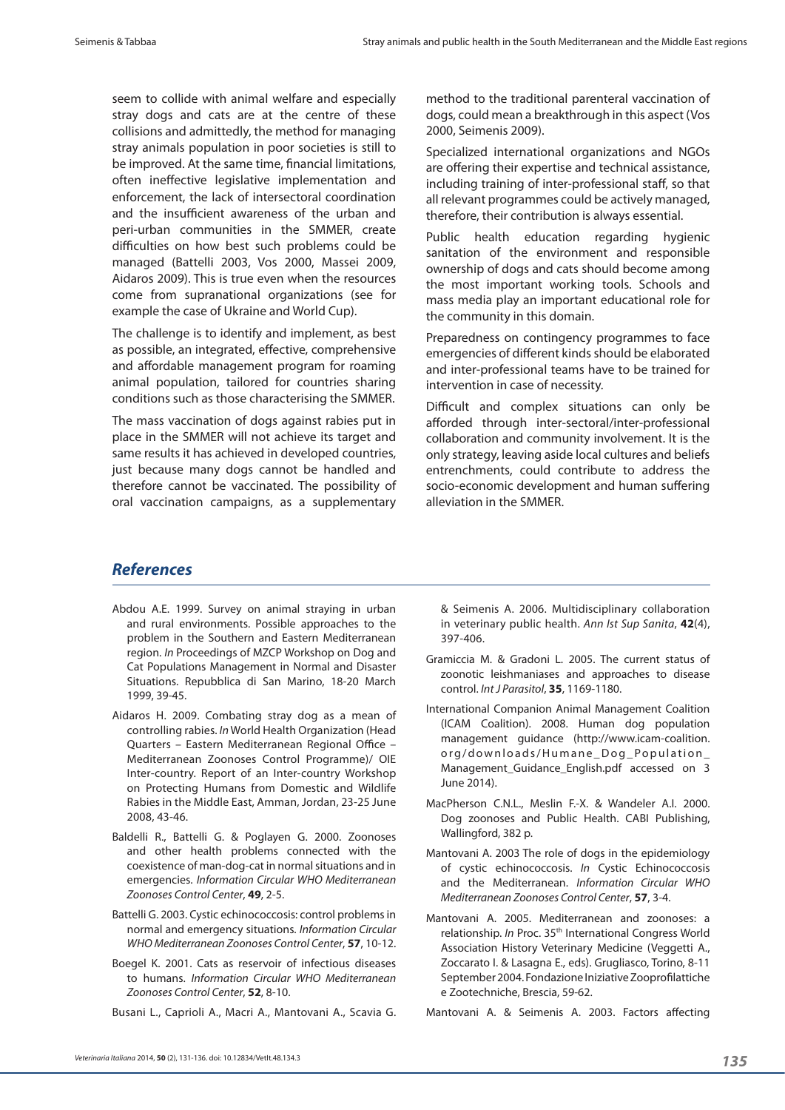seem to collide with animal welfare and especially stray dogs and cats are at the centre of these collisions and admittedly, the method for managing stray animals population in poor societies is still to be improved. At the same time, financial limitations, often ineffective legislative implementation and enforcement, the lack of intersectoral coordination and the insufficient awareness of the urban and peri-urban communities in the SMMER, create difficulties on how best such problems could be managed (Battelli 2003, Vos 2000, Massei 2009, Aidaros 2009). This is true even when the resources come from supranational organizations (see for example the case of Ukraine and World Cup).

The challenge is to identify and implement, as best as possible, an integrated, effective, comprehensive and affordable management program for roaming animal population, tailored for countries sharing conditions such as those characterising the SMMER.

The mass vaccination of dogs against rabies put in place in the SMMER will not achieve its target and same results it has achieved in developed countries, just because many dogs cannot be handled and therefore cannot be vaccinated. The possibility of oral vaccination campaigns, as a supplementary

method to the traditional parenteral vaccination of dogs, could mean a breakthrough in this aspect (Vos 2000, Seimenis 2009).

Specialized international organizations and NGOs are offering their expertise and technical assistance, including training of inter-professional staff, so that all relevant programmes could be actively managed, therefore, their contribution is always essential.

Public health education regarding hygienic sanitation of the environment and responsible ownership of dogs and cats should become among the most important working tools. Schools and mass media play an important educational role for the community in this domain.

Preparedness on contingency programmes to face emergencies of different kinds should be elaborated and inter-professional teams have to be trained for intervention in case of necessity.

Difficult and complex situations can only be afforded through inter-sectoral/inter-professional collaboration and community involvement. It is the only strategy, leaving aside local cultures and beliefs entrenchments, could contribute to address the socio-economic development and human suffering alleviation in the SMMER.

#### *References*

- Abdou A.E. 1999. Survey on animal straying in urban and rural environments. Possible approaches to the problem in the Southern and Eastern Mediterranean region. *Ιn* Proceedings of MZCP Workshop on Dog and Cat Populations Management in Normal and Disaster Situations. Repubblica di San Marino, 18-20 March 1999, 39-45.
- Aidaros H. 2009. Combating stray dog as a mean of controlling rabies. *In* World Health Organization (Head Quarters – Eastern Mediterranean Regional Office – Mediterranean Zoonoses Control Programme)/ OIE Inter-country. Report of an Inter-country Workshop on Protecting Humans from Domestic and Wildlife Rabies in the Middle East, Amman, Jordan, 23-25 June 2008, 43-46.
- Baldelli R., Battelli G. & Poglayen G. 2000. Zoonoses and other health problems connected with the coexistence of man-dog-cat in normal situations and in emergencies. *Information Circular WHO Mediterranean Zoonoses Control Center*, **49**, 2-5.
- Battelli G. 2003. Cystic echinococcosis: control problems in normal and emergency situations. *Information Circular WHO Mediterranean Zoonoses Control Center*, **57**, 10-12.
- Boegel K. 2001. Cats as reservoir of infectious diseases to humans. *Information Circular WHO Mediterranean Zoonoses Control Center*, **52**, 8-10.

Busani L., Caprioli A., Macri A., Mantovani A., Scavia G.

& Seimenis A. 2006. Multidisciplinary collaboration in veterinary public health. *Ann Ist Sup Sanita*, **42**(4), 397-406.

- Gramiccia M. & Gradoni L. 2005. The current status of zoonotic leishmaniases and approaches to disease control. *Int J Parasitol*, **35**, 1169-1180.
- International Companion Animal Management Coalition (ICAM Coalition). 2008. Human dog population management guidance (http://www.icam-coalition. org/downloads/Humane\_Dog\_Population\_ Management\_Guidance\_English.pdf accessed on 3 June 2014).
- MacPherson C.N.L., Meslin F.-X. & Wandeler A.I. 2000. Dog zoonoses and Public Health. CABI Publishing, Wallingford, 382 p.
- Mantovani A. 2003 The role of dogs in the epidemiology of cystic echinococcosis. *In* Cystic Echinococcosis and the Mediterranean. *Information Circular WHO Mediterranean Zoonoses Control Center*, **57**, 3-4.
- Mantovani A. 2005. Mediterranean and zoonoses: a relationship. *In* Proc. 35th International Congress World Association History Veterinary Medicine (Veggetti A., Zoccarato I. & Lasagna E., eds). Grugliasco, Torino, 8-11 September 2004. Fondazione Iniziative Zooprofilattiche e Zootechniche, Brescia, 59-62.

Mantovani A. & Seimenis A. 2003. Factors affecting